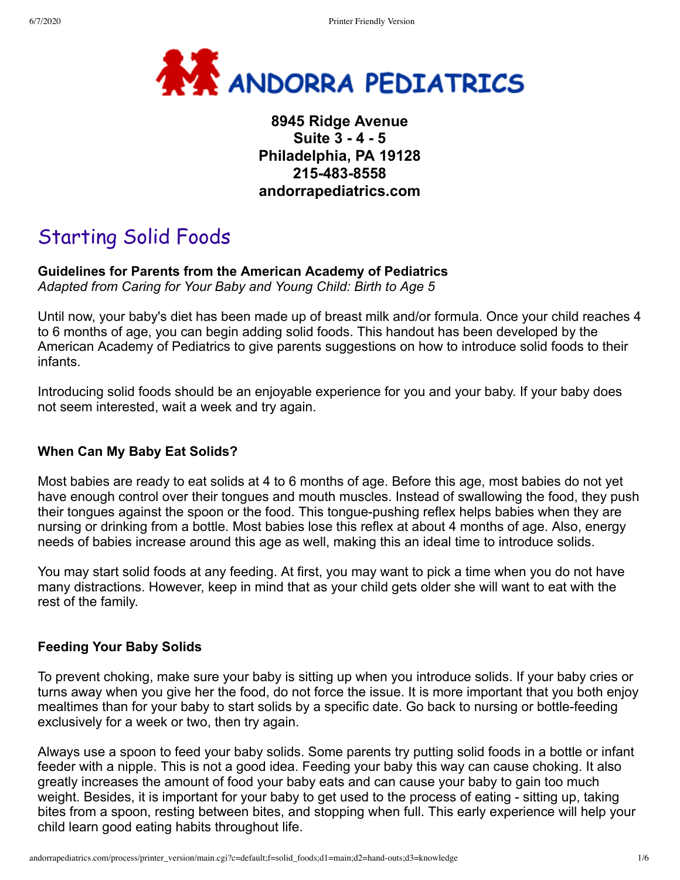

## **8945 Ridge Avenue Suite 3 - 4 - 5 Philadelphia, PA 19128 215-483-8558 andorrapediatrics.com**

# Starting Solid Foods

### **Guidelines for Parents from the American Academy of Pediatrics**

*Adapted from Caring for Your Baby and Young Child: Birth to Age 5*

Until now, your baby's diet has been made up of breast milk and/or formula. Once your child reaches 4 to 6 months of age, you can begin adding solid foods. This handout has been developed by the American Academy of Pediatrics to give parents suggestions on how to introduce solid foods to their infants.

Introducing solid foods should be an enjoyable experience for you and your baby. If your baby does not seem interested, wait a week and try again.

#### **When Can My Baby Eat Solids?**

Most babies are ready to eat solids at 4 to 6 months of age. Before this age, most babies do not yet have enough control over their tongues and mouth muscles. Instead of swallowing the food, they push their tongues against the spoon or the food. This tongue-pushing reflex helps babies when they are nursing or drinking from a bottle. Most babies lose this reflex at about 4 months of age. Also, energy needs of babies increase around this age as well, making this an ideal time to introduce solids.

You may start solid foods at any feeding. At first, you may want to pick a time when you do not have many distractions. However, keep in mind that as your child gets older she will want to eat with the rest of the family.

#### **Feeding Your Baby Solids**

To prevent choking, make sure your baby is sitting up when you introduce solids. If your baby cries or turns away when you give her the food, do not force the issue. It is more important that you both enjoy mealtimes than for your baby to start solids by a specific date. Go back to nursing or bottle-feeding exclusively for a week or two, then try again.

Always use a spoon to feed your baby solids. Some parents try putting solid foods in a bottle or infant feeder with a nipple. This is not a good idea. Feeding your baby this way can cause choking. It also greatly increases the amount of food your baby eats and can cause your baby to gain too much weight. Besides, it is important for your baby to get used to the process of eating - sitting up, taking bites from a spoon, resting between bites, and stopping when full. This early experience will help your child learn good eating habits throughout life.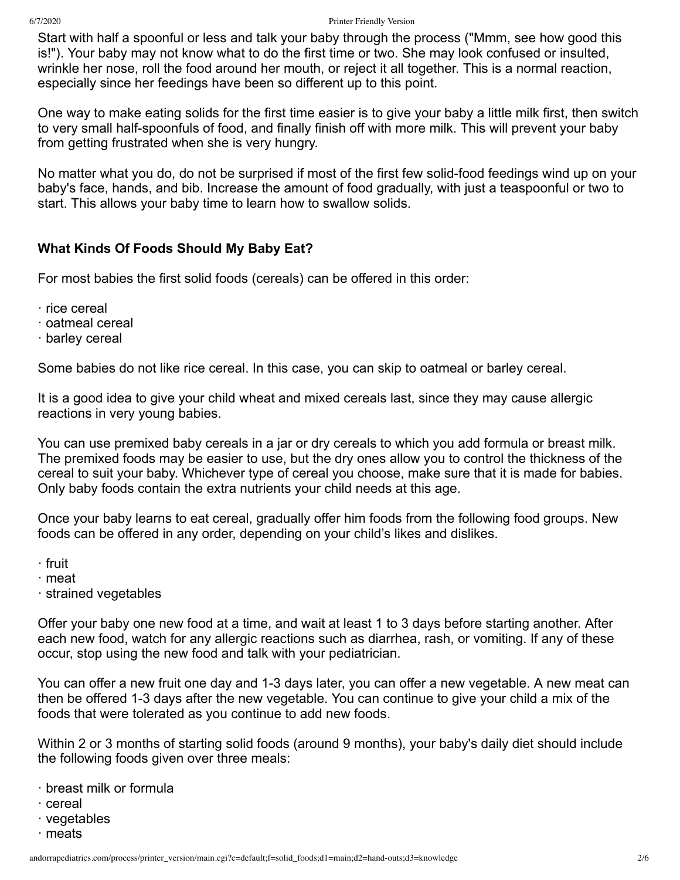Start with half a spoonful or less and talk your baby through the process ("Mmm, see how good this is!"). Your baby may not know what to do the first time or two. She may look confused or insulted, wrinkle her nose, roll the food around her mouth, or reject it all together. This is a normal reaction, especially since her feedings have been so different up to this point.

One way to make eating solids for the first time easier is to give your baby a little milk first, then switch to very small half-spoonfuls of food, and finally finish off with more milk. This will prevent your baby from getting frustrated when she is very hungry.

No matter what you do, do not be surprised if most of the first few solid-food feedings wind up on your baby's face, hands, and bib. Increase the amount of food gradually, with just a teaspoonful or two to start. This allows your baby time to learn how to swallow solids.

#### **What Kinds Of Foods Should My Baby Eat?**

For most babies the first solid foods (cereals) can be offered in this order:

- · rice cereal
- · oatmeal cereal
- · barley cereal

Some babies do not like rice cereal. In this case, you can skip to oatmeal or barley cereal.

It is a good idea to give your child wheat and mixed cereals last, since they may cause allergic reactions in very young babies.

You can use premixed baby cereals in a jar or dry cereals to which you add formula or breast milk. The premixed foods may be easier to use, but the dry ones allow you to control the thickness of the cereal to suit your baby. Whichever type of cereal you choose, make sure that it is made for babies. Only baby foods contain the extra nutrients your child needs at this age.

Once your baby learns to eat cereal, gradually offer him foods from the following food groups. New foods can be offered in any order, depending on your child's likes and dislikes.

- · fruit
- · meat
- · strained vegetables

Offer your baby one new food at a time, and wait at least 1 to 3 days before starting another. After each new food, watch for any allergic reactions such as diarrhea, rash, or vomiting. If any of these occur, stop using the new food and talk with your pediatrician.

You can offer a new fruit one day and 1-3 days later, you can offer a new vegetable. A new meat can then be offered 1-3 days after the new vegetable. You can continue to give your child a mix of the foods that were tolerated as you continue to add new foods.

Within 2 or 3 months of starting solid foods (around 9 months), your baby's daily diet should include the following foods given over three meals:

- · breast milk or formula
- · cereal
- · vegetables
- · meats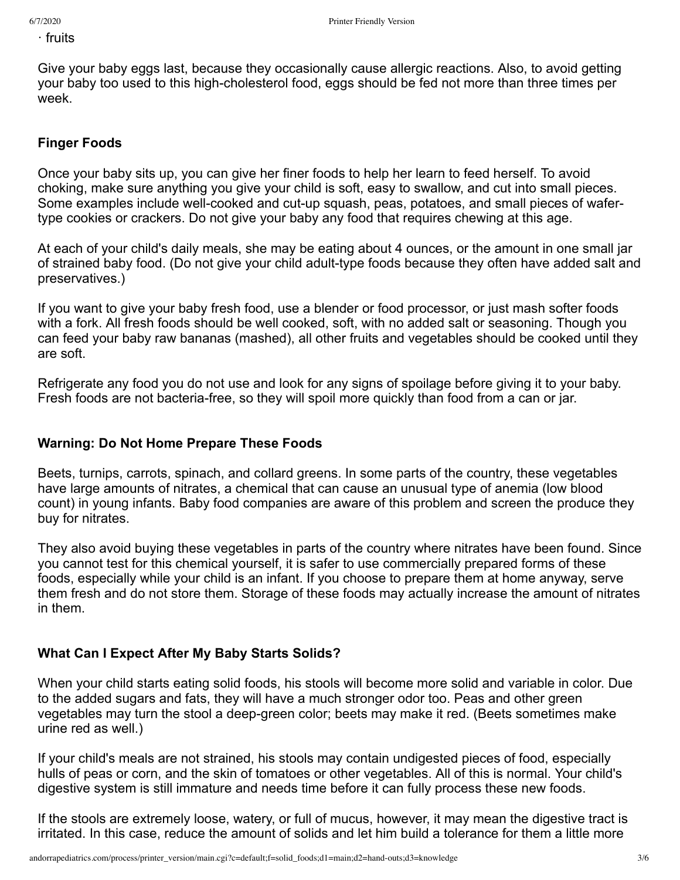· fruits

Give your baby eggs last, because they occasionally cause allergic reactions. Also, to avoid getting your baby too used to this high-cholesterol food, eggs should be fed not more than three times per week.

#### **Finger Foods**

Once your baby sits up, you can give her finer foods to help her learn to feed herself. To avoid choking, make sure anything you give your child is soft, easy to swallow, and cut into small pieces. Some examples include well-cooked and cut-up squash, peas, potatoes, and small pieces of wafertype cookies or crackers. Do not give your baby any food that requires chewing at this age.

At each of your child's daily meals, she may be eating about 4 ounces, or the amount in one small jar of strained baby food. (Do not give your child adult-type foods because they often have added salt and preservatives.)

If you want to give your baby fresh food, use a blender or food processor, or just mash softer foods with a fork. All fresh foods should be well cooked, soft, with no added salt or seasoning. Though you can feed your baby raw bananas (mashed), all other fruits and vegetables should be cooked until they are soft.

Refrigerate any food you do not use and look for any signs of spoilage before giving it to your baby. Fresh foods are not bacteria-free, so they will spoil more quickly than food from a can or jar.

#### **Warning: Do Not Home Prepare These Foods**

Beets, turnips, carrots, spinach, and collard greens. In some parts of the country, these vegetables have large amounts of nitrates, a chemical that can cause an unusual type of anemia (low blood count) in young infants. Baby food companies are aware of this problem and screen the produce they buy for nitrates.

They also avoid buying these vegetables in parts of the country where nitrates have been found. Since you cannot test for this chemical yourself, it is safer to use commercially prepared forms of these foods, especially while your child is an infant. If you choose to prepare them at home anyway, serve them fresh and do not store them. Storage of these foods may actually increase the amount of nitrates in them.

#### **What Can I Expect After My Baby Starts Solids?**

When your child starts eating solid foods, his stools will become more solid and variable in color. Due to the added sugars and fats, they will have a much stronger odor too. Peas and other green vegetables may turn the stool a deep-green color; beets may make it red. (Beets sometimes make urine red as well.)

If your child's meals are not strained, his stools may contain undigested pieces of food, especially hulls of peas or corn, and the skin of tomatoes or other vegetables. All of this is normal. Your child's digestive system is still immature and needs time before it can fully process these new foods.

If the stools are extremely loose, watery, or full of mucus, however, it may mean the digestive tract is irritated. In this case, reduce the amount of solids and let him build a tolerance for them a little more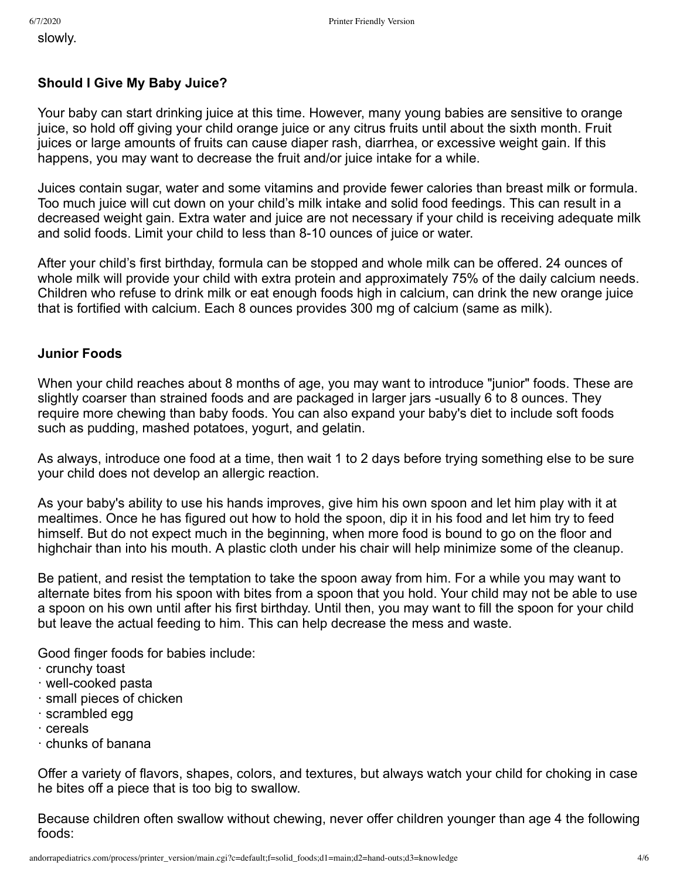slowly.

#### **Should I Give My Baby Juice?**

Your baby can start drinking juice at this time. However, many young babies are sensitive to orange juice, so hold off giving your child orange juice or any citrus fruits until about the sixth month. Fruit juices or large amounts of fruits can cause diaper rash, diarrhea, or excessive weight gain. If this happens, you may want to decrease the fruit and/or juice intake for a while.

Juices contain sugar, water and some vitamins and provide fewer calories than breast milk or formula. Too much juice will cut down on your child's milk intake and solid food feedings. This can result in a decreased weight gain. Extra water and juice are not necessary if your child is receiving adequate milk and solid foods. Limit your child to less than 8-10 ounces of juice or water.

After your child's first birthday, formula can be stopped and whole milk can be offered. 24 ounces of whole milk will provide your child with extra protein and approximately 75% of the daily calcium needs. Children who refuse to drink milk or eat enough foods high in calcium, can drink the new orange juice that is fortified with calcium. Each 8 ounces provides 300 mg of calcium (same as milk).

#### **Junior Foods**

When your child reaches about 8 months of age, you may want to introduce "junior" foods. These are slightly coarser than strained foods and are packaged in larger jars -usually 6 to 8 ounces. They require more chewing than baby foods. You can also expand your baby's diet to include soft foods such as pudding, mashed potatoes, yogurt, and gelatin.

As always, introduce one food at a time, then wait 1 to 2 days before trying something else to be sure your child does not develop an allergic reaction.

As your baby's ability to use his hands improves, give him his own spoon and let him play with it at mealtimes. Once he has figured out how to hold the spoon, dip it in his food and let him try to feed himself. But do not expect much in the beginning, when more food is bound to go on the floor and highchair than into his mouth. A plastic cloth under his chair will help minimize some of the cleanup.

Be patient, and resist the temptation to take the spoon away from him. For a while you may want to alternate bites from his spoon with bites from a spoon that you hold. Your child may not be able to use a spoon on his own until after his first birthday. Until then, you may want to fill the spoon for your child but leave the actual feeding to him. This can help decrease the mess and waste.

Good finger foods for babies include:

- · crunchy toast
- · well-cooked pasta
- · small pieces of chicken
- · scrambled egg
- · cereals
- · chunks of banana

Offer a variety of flavors, shapes, colors, and textures, but always watch your child for choking in case he bites off a piece that is too big to swallow.

Because children often swallow without chewing, never offer children younger than age 4 the following foods: